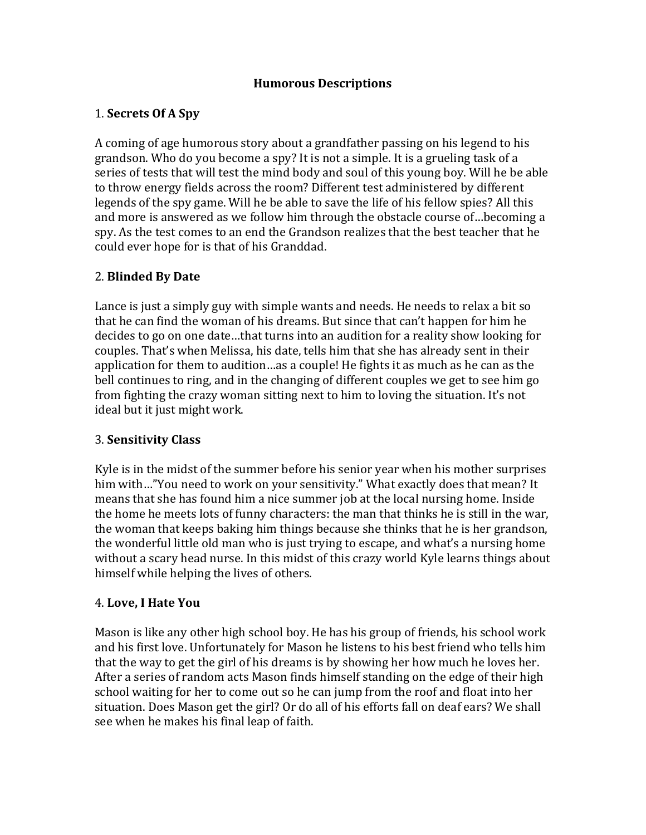#### **Humorous Descriptions**

### 1. **Secrets Of A Spy**

A coming of age humorous story about a grandfather passing on his legend to his grandson. Who do you become a spy? It is not a simple. It is a grueling task of a series of tests that will test the mind body and soul of this young boy. Will he be able to throw energy fields across the room? Different test administered by different legends of the spy game. Will he be able to save the life of his fellow spies? All this and more is answered as we follow him through the obstacle course of...becoming a spy. As the test comes to an end the Grandson realizes that the best teacher that he could ever hope for is that of his Granddad.

### 2. **Blinded By Date**

Lance is just a simply guy with simple wants and needs. He needs to relax a bit so that he can find the woman of his dreams. But since that can't happen for him he decides to go on one date...that turns into an audition for a reality show looking for couples. That's when Melissa, his date, tells him that she has already sent in their application for them to audition…as a couple! He fights it as much as he can as the bell continues to ring, and in the changing of different couples we get to see him go from fighting the crazy woman sitting next to him to loving the situation. It's not ideal but it just might work.

#### 3. **Sensitivity Class**

Kyle is in the midst of the summer before his senior year when his mother surprises him with..."You need to work on your sensitivity." What exactly does that mean? It means that she has found him a nice summer job at the local nursing home. Inside the home he meets lots of funny characters: the man that thinks he is still in the war, the woman that keeps baking him things because she thinks that he is her grandson, the wonderful little old man who is just trying to escape, and what's a nursing home without a scary head nurse. In this midst of this crazy world Kyle learns things about himself while helping the lives of others.

#### 4. **Love, I Hate You**

Mason is like any other high school boy. He has his group of friends, his school work and his first love. Unfortunately for Mason he listens to his best friend who tells him that the way to get the girl of his dreams is by showing her how much he loves her. After a series of random acts Mason finds himself standing on the edge of their high school waiting for her to come out so he can jump from the roof and float into her situation. Does Mason get the girl? Or do all of his efforts fall on deaf ears? We shall see when he makes his final leap of faith.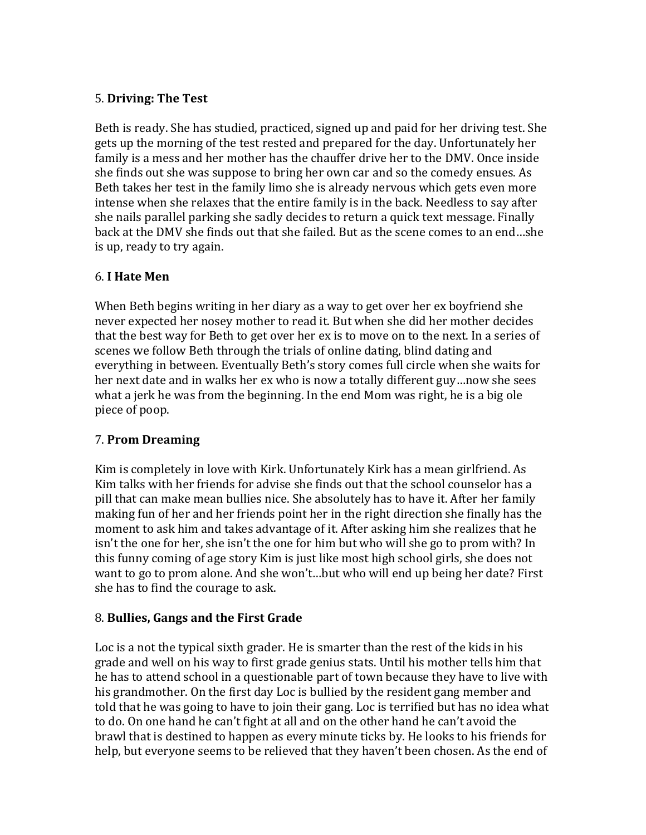### 5. **Driving: The Test**

Beth is ready. She has studied, practiced, signed up and paid for her driving test. She gets up the morning of the test rested and prepared for the day. Unfortunately her family is a mess and her mother has the chauffer drive her to the DMV. Once inside she finds out she was suppose to bring her own car and so the comedy ensues. As Beth takes her test in the family limo she is already nervous which gets even more intense when she relaxes that the entire family is in the back. Needless to say after she nails parallel parking she sadly decides to return a quick text message. Finally back at the DMV she finds out that she failed. But as the scene comes to an end...she is up, ready to try again.

### 6. **I Hate Men**

When Beth begins writing in her diary as a way to get over her ex boyfriend she never expected her nosey mother to read it. But when she did her mother decides that the best way for Beth to get over her ex is to move on to the next. In a series of scenes we follow Beth through the trials of online dating, blind dating and everything in between. Eventually Beth's story comes full circle when she waits for her next date and in walks her ex who is now a totally different guy...now she sees what a jerk he was from the beginning. In the end Mom was right, he is a big ole piece of poop.

#### 7. **Prom Dreaming**

Kim is completely in love with Kirk. Unfortunately Kirk has a mean girlfriend. As Kim talks with her friends for advise she finds out that the school counselor has a pill that can make mean bullies nice. She absolutely has to have it. After her family making fun of her and her friends point her in the right direction she finally has the moment to ask him and takes advantage of it. After asking him she realizes that he isn't the one for her, she isn't the one for him but who will she go to prom with? In this funny coming of age story Kim is just like most high school girls, she does not want to go to prom alone. And she won't...but who will end up being her date? First she has to find the courage to ask.

# 8. **Bullies, Gangs and the First Grade**

Loc is a not the typical sixth grader. He is smarter than the rest of the kids in his grade and well on his way to first grade genius stats. Until his mother tells him that he has to attend school in a questionable part of town because they have to live with his grandmother. On the first day Loc is bullied by the resident gang member and told that he was going to have to join their gang. Loc is terrified but has no idea what to do. On one hand he can't fight at all and on the other hand he can't avoid the brawl that is destined to happen as every minute ticks by. He looks to his friends for help, but everyone seems to be relieved that they haven't been chosen. As the end of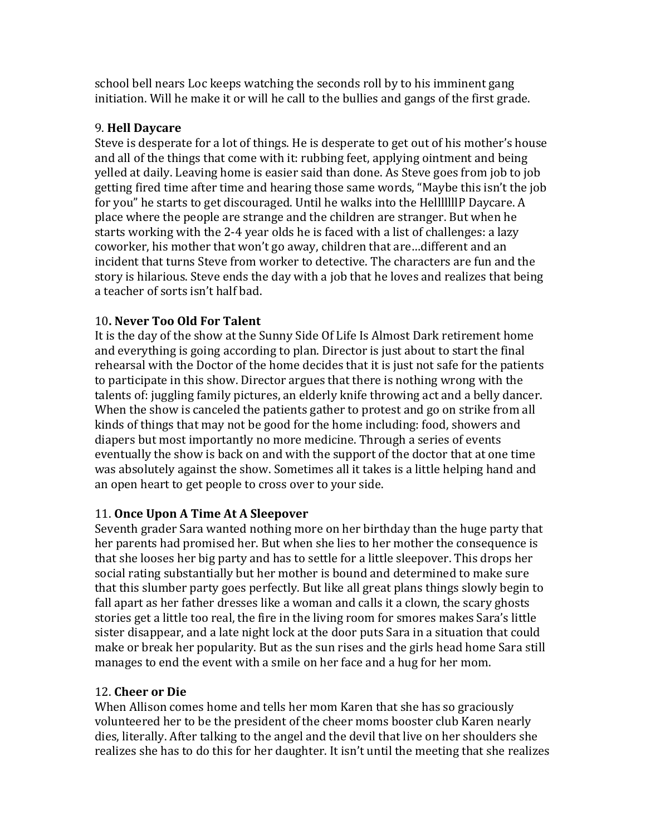school bell nears Loc keeps watching the seconds roll by to his imminent gang initiation. Will he make it or will he call to the bullies and gangs of the first grade.

# 9. **Hell Daycare**

Steve is desperate for a lot of things. He is desperate to get out of his mother's house and all of the things that come with it: rubbing feet, applying ointment and being yelled at daily. Leaving home is easier said than done. As Steve goes from job to job getting fired time after time and hearing those same words, "Maybe this isn't the job for you" he starts to get discouraged. Until he walks into the HelllllllP Daycare. A place where the people are strange and the children are stranger. But when he starts working with the 2-4 year olds he is faced with a list of challenges: a lazy coworker, his mother that won't go away, children that are...different and an incident that turns Steve from worker to detective. The characters are fun and the story is hilarious. Steve ends the day with a job that he loves and realizes that being a teacher of sorts isn't half bad.

# 10**. Never Too Old For Talent**

It is the day of the show at the Sunny Side Of Life Is Almost Dark retirement home and everything is going according to plan. Director is just about to start the final rehearsal with the Doctor of the home decides that it is just not safe for the patients to participate in this show. Director argues that there is nothing wrong with the talents of: juggling family pictures, an elderly knife throwing act and a belly dancer. When the show is canceled the patients gather to protest and go on strike from all kinds of things that may not be good for the home including: food, showers and diapers but most importantly no more medicine. Through a series of events eventually the show is back on and with the support of the doctor that at one time was absolutely against the show. Sometimes all it takes is a little helping hand and an open heart to get people to cross over to your side.

#### 11. **Once Upon A Time At A Sleepover**

Seventh grader Sara wanted nothing more on her birthday than the huge party that her parents had promised her. But when she lies to her mother the consequence is that she looses her big party and has to settle for a little sleepover. This drops her social rating substantially but her mother is bound and determined to make sure that this slumber party goes perfectly. But like all great plans things slowly begin to fall apart as her father dresses like a woman and calls it a clown, the scary ghosts stories get a little too real, the fire in the living room for smores makes Sara's little sister disappear, and a late night lock at the door puts Sara in a situation that could make or break her popularity. But as the sun rises and the girls head home Sara still manages to end the event with a smile on her face and a hug for her mom.

# 12. **Cheer or Die**

When Allison comes home and tells her mom Karen that she has so graciously volunteered her to be the president of the cheer moms booster club Karen nearly dies, literally. After talking to the angel and the devil that live on her shoulders she realizes she has to do this for her daughter. It isn't until the meeting that she realizes